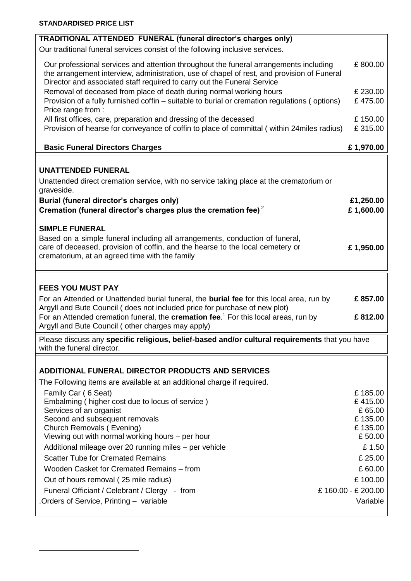**.** 

| TRADITIONAL ATTENDED FUNERAL (funeral director's charges only)                                                                                                                                                                                                 |           |
|----------------------------------------------------------------------------------------------------------------------------------------------------------------------------------------------------------------------------------------------------------------|-----------|
| Our traditional funeral services consist of the following inclusive services.                                                                                                                                                                                  |           |
| Our professional services and attention throughout the funeral arrangements including<br>the arrangement interview, administration, use of chapel of rest, and provision of Funeral<br>Director and associated staff required to carry out the Funeral Service | £800.00   |
| Removal of deceased from place of death during normal working hours                                                                                                                                                                                            | £230.00   |
| Provision of a fully furnished coffin - suitable to burial or cremation regulations (options)<br>Price range from :                                                                                                                                            | £475.00   |
| All first offices, care, preparation and dressing of the deceased                                                                                                                                                                                              | £150.00   |
| Provision of hearse for conveyance of coffin to place of committal (within 24 miles radius)                                                                                                                                                                    | £315.00   |
| <b>Basic Funeral Directors Charges</b>                                                                                                                                                                                                                         | £1,970.00 |
|                                                                                                                                                                                                                                                                |           |
| <b>UNATTENDED FUNERAL</b>                                                                                                                                                                                                                                      |           |
| Unattended direct cremation service, with no service taking place at the crematorium or<br>graveside.                                                                                                                                                          |           |
| Burial (funeral director's charges only)                                                                                                                                                                                                                       | £1,250.00 |
| Cremation (funeral director's charges plus the cremation fee) $2$                                                                                                                                                                                              | £1,600.00 |
| <b>SIMPLE FUNERAL</b>                                                                                                                                                                                                                                          |           |
| Based on a simple funeral including all arrangements, conduction of funeral,                                                                                                                                                                                   |           |
| care of deceased, provision of coffin, and the hearse to the local cemetery or<br>crematorium, at an agreed time with the family                                                                                                                               | £1,950.00 |
|                                                                                                                                                                                                                                                                |           |
|                                                                                                                                                                                                                                                                |           |
| <b>FEES YOU MUST PAY</b>                                                                                                                                                                                                                                       |           |
| For an Attended or Unattended burial funeral, the <b>burial fee</b> for this local area, run by<br>Argyll and Bute Council (does not included price for purchase of new plot)                                                                                  | £857.00   |
| For an Attended cremation funeral, the <b>cremation fee</b> . <sup>1</sup> For this local areas, run by                                                                                                                                                        | £812.00   |
| Argyll and Bute Council (other charges may apply)                                                                                                                                                                                                              |           |
| Please discuss any specific religious, belief-based and/or cultural requirements that you have                                                                                                                                                                 |           |
| with the funeral director.                                                                                                                                                                                                                                     |           |
|                                                                                                                                                                                                                                                                |           |
| ADDITIONAL FUNERAL DIRECTOR PRODUCTS AND SERVICES                                                                                                                                                                                                              |           |
| The Following items are available at an additional charge if required.<br>Family Car (6 Seat)                                                                                                                                                                  | £185.00   |

| Family Car (6 Seat)                                    | £185.00           |
|--------------------------------------------------------|-------------------|
| Embalming (higher cost due to locus of service)        | £415.00           |
| Services of an organist                                | £65.00            |
| Second and subsequent removals                         | £135.00           |
| Church Removals (Evening)                              | £135.00           |
| Viewing out with normal working hours – per hour       | £50.00            |
| Additional mileage over 20 running miles – per vehicle | £1.50             |
| <b>Scatter Tube for Cremated Remains</b>               | £ 25.00           |
| Wooden Casket for Cremated Remains - from              | £60.00            |
| Out of hours removal (25 mile radius)                  | £100.00           |
| Funeral Officiant / Celebrant / Clergy - from          | £160.00 - £200.00 |
| Orders of Service, Printing - variable                 | Variable          |
|                                                        |                   |